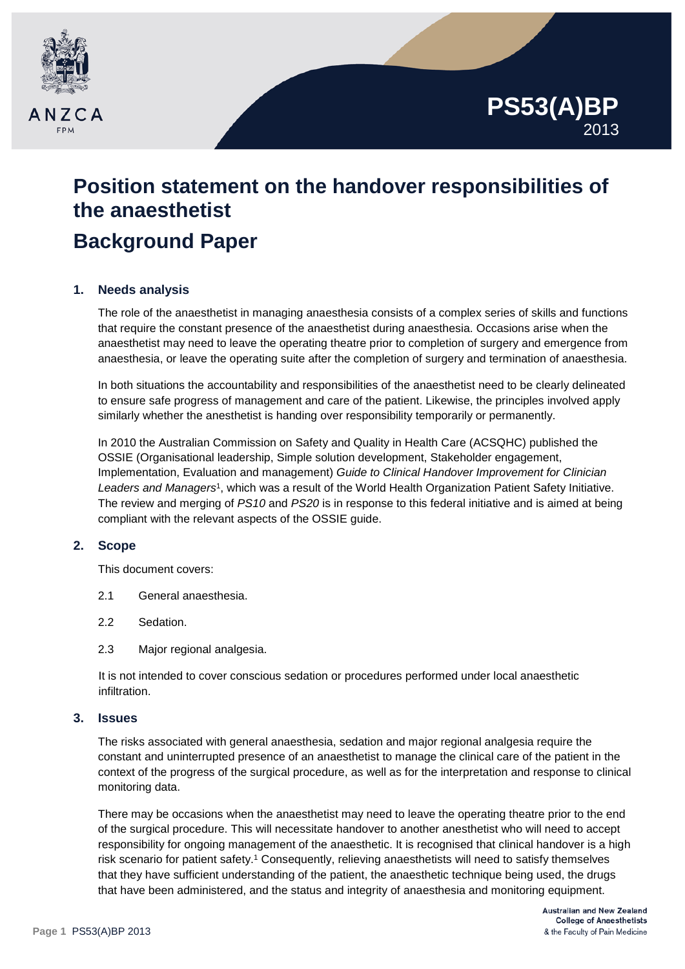

# **Position statement on the handover responsibilities of the anaesthetist Background Paper**

# **1. Needs analysis**

The role of the anaesthetist in managing anaesthesia consists of a complex series of skills and functions that require the constant presence of the anaesthetist during anaesthesia. Occasions arise when the anaesthetist may need to leave the operating theatre prior to completion of surgery and emergence from anaesthesia, or leave the operating suite after the completion of surgery and termination of anaesthesia.

In both situations the accountability and responsibilities of the anaesthetist need to be clearly delineated to ensure safe progress of management and care of the patient. Likewise, the principles involved apply similarly whether the anesthetist is handing over responsibility temporarily or permanently.

In 2010 the Australian Commission on Safety and Quality in Health Care (ACSQHC) published the OSSIE (Organisational leadership, Simple solution development, Stakeholder engagement, Implementation, Evaluation and management) *Guide to Clinical Handover Improvement for Clinician Leaders and Managers*1, which was a result of the World Health Organization Patient Safety Initiative. The review and merging of *PS10* and *PS20* is in response to this federal initiative and is aimed at being compliant with the relevant aspects of the OSSIE guide.

## **2. Scope**

This document covers:

- 2.1 General anaesthesia.
- 2.2 Sedation.
- 2.3 Major regional analgesia.

It is not intended to cover conscious sedation or procedures performed under local anaesthetic infiltration.

## **3. Issues**

The risks associated with general anaesthesia, sedation and major regional analgesia require the constant and uninterrupted presence of an anaesthetist to manage the clinical care of the patient in the context of the progress of the surgical procedure, as well as for the interpretation and response to clinical monitoring data.

There may be occasions when the anaesthetist may need to leave the operating theatre prior to the end of the surgical procedure. This will necessitate handover to another anesthetist who will need to accept responsibility for ongoing management of the anaesthetic. It is recognised that clinical handover is a high risk scenario for patient safety.<sup>1</sup> Consequently, relieving anaesthetists will need to satisfy themselves that they have sufficient understanding of the patient, the anaesthetic technique being used, the drugs that have been administered, and the status and integrity of anaesthesia and monitoring equipment.

**PS53(A)BP**

2013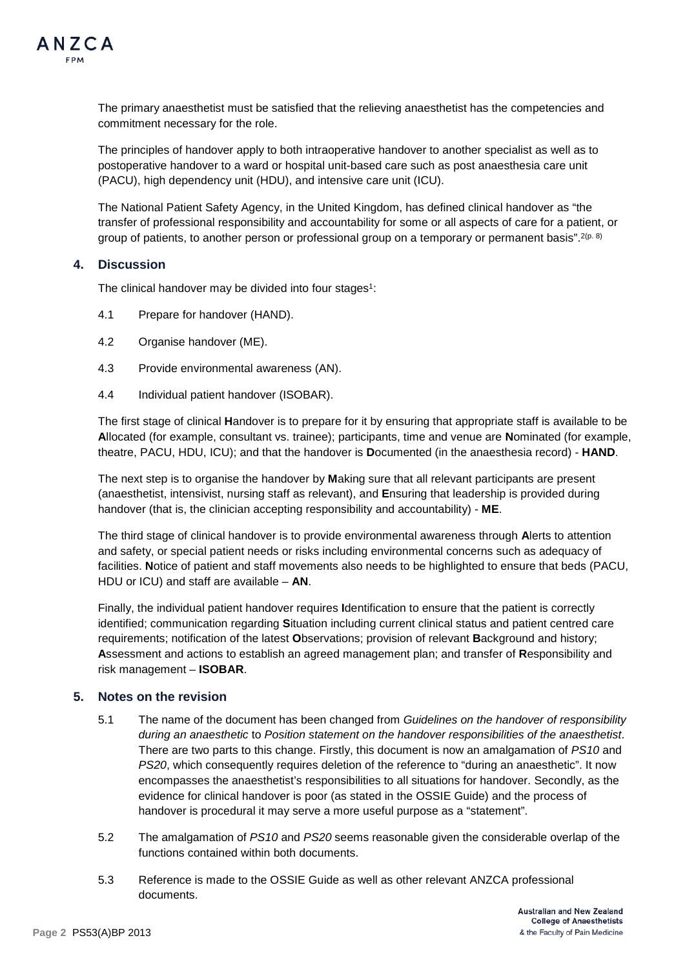

The primary anaesthetist must be satisfied that the relieving anaesthetist has the competencies and commitment necessary for the role.

The principles of handover apply to both intraoperative handover to another specialist as well as to postoperative handover to a ward or hospital unit-based care such as post anaesthesia care unit (PACU), high dependency unit (HDU), and intensive care unit (ICU).

The National Patient Safety Agency, in the United Kingdom, has defined clinical handover as "the transfer of professional responsibility and accountability for some or all aspects of care for a patient, or group of patients, to another person or professional group on a temporary or permanent basis".  $2(p. 8)$ 

## **4. Discussion**

The clinical handover may be divided into four stages<sup>1</sup>:

- 4.1 Prepare for handover (HAND).
- 4.2 Organise handover (ME).
- 4.3 Provide environmental awareness (AN).
- 4.4 Individual patient handover (ISOBAR).

The first stage of clinical **H**andover is to prepare for it by ensuring that appropriate staff is available to be **A**llocated (for example, consultant vs. trainee); participants, time and venue are **N**ominated (for example, theatre, PACU, HDU, ICU); and that the handover is **D**ocumented (in the anaesthesia record) - **HAND**.

The next step is to organise the handover by **M**aking sure that all relevant participants are present (anaesthetist, intensivist, nursing staff as relevant), and **E**nsuring that leadership is provided during handover (that is, the clinician accepting responsibility and accountability) - **ME**.

The third stage of clinical handover is to provide environmental awareness through **A**lerts to attention and safety, or special patient needs or risks including environmental concerns such as adequacy of facilities. **N**otice of patient and staff movements also needs to be highlighted to ensure that beds (PACU, HDU or ICU) and staff are available – **AN**.

Finally, the individual patient handover requires **I**dentification to ensure that the patient is correctly identified; communication regarding **S**ituation including current clinical status and patient centred care requirements; notification of the latest **O**bservations; provision of relevant **B**ackground and history; **A**ssessment and actions to establish an agreed management plan; and transfer of **R**esponsibility and risk management – **ISOBAR**.

## **5. Notes on the revision**

- 5.1 The name of the document has been changed from *Guidelines on the handover of responsibility during an anaesthetic* to *Position statement on the handover responsibilities of the anaesthetist*. There are two parts to this change. Firstly, this document is now an amalgamation of *PS10* and *PS20*, which consequently requires deletion of the reference to "during an anaesthetic". It now encompasses the anaesthetist's responsibilities to all situations for handover. Secondly, as the evidence for clinical handover is poor (as stated in the OSSIE Guide) and the process of handover is procedural it may serve a more useful purpose as a "statement".
- 5.2 The amalgamation of *PS10* and *PS20* seems reasonable given the considerable overlap of the functions contained within both documents.
- 5.3 Reference is made to the OSSIE Guide as well as other relevant ANZCA professional documents.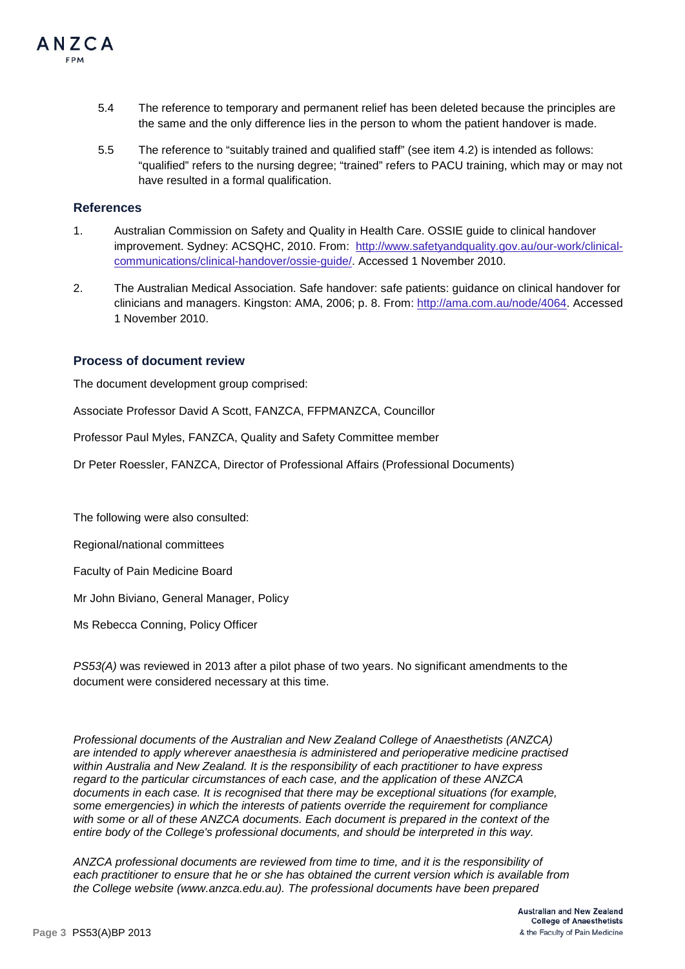

- 5.4 The reference to temporary and permanent relief has been deleted because the principles are the same and the only difference lies in the person to whom the patient handover is made.
- 5.5 The reference to "suitably trained and qualified staff" (see item 4.2) is intended as follows: "qualified" refers to the nursing degree; "trained" refers to PACU training, which may or may not have resulted in a formal qualification.

#### **References**

- 1. Australian Commission on Safety and Quality in Health Care. OSSIE guide to clinical handover improvement. Sydney: ACSQHC, 2010. From: [http://www.safetyandquality.gov.au/our-work/clinical](http://www.safetyandquality.gov.au/our-work/clinical-communications/clinical-handover/ossie-guide/)[communications/clinical-handover/ossie-guide/.](http://www.safetyandquality.gov.au/our-work/clinical-communications/clinical-handover/ossie-guide/) Accessed 1 November 2010.
- 2. The Australian Medical Association. Safe handover: safe patients: guidance on clinical handover for clinicians and managers. Kingston: AMA, 2006; p. 8. From: [http://ama.com.au/node/4064.](http://ama.com.au/node/4064) Accessed 1 November 2010.

#### **Process of document review**

The document development group comprised:

Associate Professor David A Scott, FANZCA, FFPMANZCA, Councillor

Professor Paul Myles, FANZCA, Quality and Safety Committee member

Dr Peter Roessler, FANZCA, Director of Professional Affairs (Professional Documents)

The following were also consulted:

Regional/national committees

Faculty of Pain Medicine Board

Mr John Biviano, General Manager, Policy

Ms Rebecca Conning, Policy Officer

*PS53(A)* was reviewed in 2013 after a pilot phase of two years. No significant amendments to the document were considered necessary at this time.

*Professional documents of the Australian and New Zealand College of Anaesthetists (ANZCA) are intended to apply wherever anaesthesia is administered and perioperative medicine practised within Australia and New Zealand. It is the responsibility of each practitioner to have express regard to the particular circumstances of each case, and the application of these ANZCA documents in each case. It is recognised that there may be exceptional situations (for example, some emergencies) in which the interests of patients override the requirement for compliance with some or all of these ANZCA documents. Each document is prepared in the context of the entire body of the College's professional documents, and should be interpreted in this way.*

*ANZCA professional documents are reviewed from time to time, and it is the responsibility of each practitioner to ensure that he or she has obtained the current version which is available from the College website [\(www.anzca.edu.au\)](http://www.anzca.edu.au/). The professional documents have been prepared*